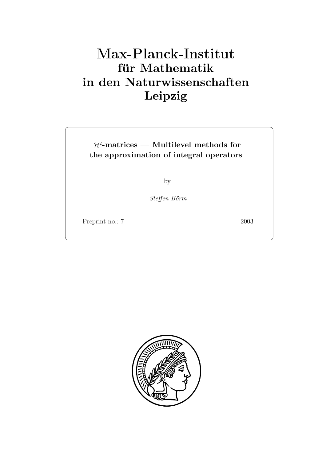# **für Mathematik in den Naturwissenschaften Leipzig**

H<sup>2</sup>**-matrices — Multilevel methods for the approximation of integral operators**

by

Steffen Börm

Preprint no.: 7 2003

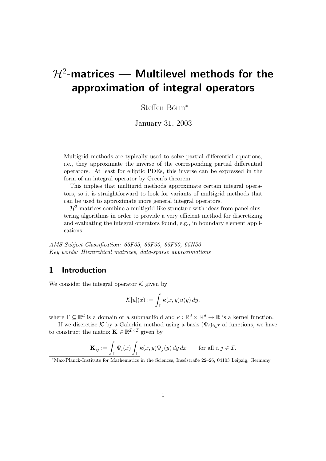# H<sup>2</sup>**-matrices — Multilevel methods for the approximation of integral operators**

Steffen Börm<sup>∗</sup>

January 31, 2003

Multigrid methods are typically used to solve partial differential equations, i.e., they approximate the inverse of the corresponding partial differential operators. At least for elliptic PDEs, this inverse can be expressed in the form of an integral operator by Green's theorem.

This implies that multigrid methods approximate certain integral operators, so it is straightforward to look for variants of multigrid methods that can be used to approximate more general integral operators.

 $\mathcal{H}^2$ -matrices combine a multigrid-like structure with ideas from panel clustering algorithms in order to provide a very efficient method for discretizing and evaluating the integral operators found, e.g., in boundary element applications.

*AMS Subject Classification: 65F05, 65F30, 65F50, 65N50 Key words: Hierarchical matrices, data-sparse approximations*

## **1 Introduction**

We consider the integral operator  $K$  given by

$$
\mathcal{K}[u](x) := \int_{\Gamma} \kappa(x, y) u(y) \, dy,
$$

where  $\Gamma \subset \mathbb{R}^d$  is a domain or a submanifold and  $\kappa : \mathbb{R}^d \times \mathbb{R}^d \to \mathbb{R}$  is a kernel function.

If we discretize K by a Galerkin method using a basis  $(\Psi_i)_{i\in\mathcal{I}}$  of functions, we have to construct the matrix  $\mathbf{K} \in \mathbb{R}^{\mathcal{I} \times \mathcal{I}}$  given by

$$
\mathbf{K}_{ij} := \int_{\Gamma} \Psi_i(x) \int_{\Gamma} \kappa(x, y) \Psi_j(y) \, dy \, dx \qquad \text{for all } i, j \in \mathcal{I}.
$$

<sup>∗</sup>Max-Planck-Institute for Mathematics in the Sciences, Inselstraße 22–26, 04103 Leipzig, Germany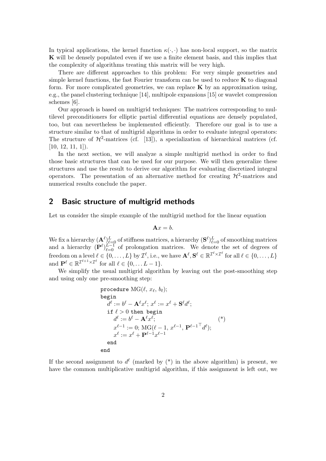In typical applications, the kernel function  $\kappa(\cdot, \cdot)$  has non-local support, so the matrix **K** will be densely populated even if we use a finite element basis, and this implies that the complexity of algorithms treating this matrix will be very high.

There are different approaches to this problem: For very simple geometries and simple kernel functions, the fast Fourier transform can be used to reduce **K** to diagonal form. For more complicated geometries, we can replace **K** by an approximation using, e.g., the panel clustering technique [14], multipole expansions [15] or wavelet compression schemes [6].

Our approach is based on multigrid techniques: The matrices corresponding to multilevel preconditioners for elliptic partial differential equations are densely populated, too, but can nevertheless be implemented efficiently. Therefore our goal is to use a structure similar to that of multigrid algorithms in order to evaluate integral operators: The structure of  $\mathcal{H}^2$ -matrices (cf. [13]), a specialization of hierarchical matrices (cf.  $[10, 12, 11, 1]$ .

In the next section, we will analyze a simple multigrid method in order to find those basic structures that can be used for our purpose. We will then generalize these structures and use the result to derive our algorithm for evaluating discretized integral operators. The presentation of an alternative method for creating  $\mathcal{H}^2$ -matrices and numerical results conclude the paper.

# **2 Basic structure of multigrid methods**

Let us consider the simple example of the multigrid method for the linear equation

$$
\mathbf{A}x=b.
$$

We fix a hierarchy  $(A^{\ell})_{\ell=0}^L$  of stiffness matrices, a hierarchy  $(\mathbf{S}^{\ell})_{\ell=0}^L$  of smoothing matrices and a hierarchy  $(P^{\ell})_{\ell=0}^{L-1}$  of prolongation matrices. We denote the set of degrees of  $\text{freedom on a level } \ell \in \{0, \ldots, L\} \text{ by } \mathcal{I}^{\ell}, \text{i.e., we have } \mathbf{A}^{\ell}, \mathbf{S}^{\ell} \in \mathbb{R}^{\mathcal{I}^{\ell} \times \mathcal{I}^{\ell}} \text{ for all } \ell \in \{0, \ldots, L\}$ and  $\mathbf{P}^{\ell} \in \mathbb{R}^{\mathcal{I}^{\ell+1} \times \mathcal{I}^{\ell}}$  for all  $\ell \in \{0, \ldots L-1\}.$ 

We simplify the usual multigrid algorithm by leaving out the post-smoothing step and using only one pre-smoothing step:

procedure MG(
$$
\ell
$$
,  $x_{\ell}$ ,  $b_{\ell}$ );  
\nbegin  
\n
$$
d^{\ell} := b^{\ell} - \mathbf{A}^{\ell} x^{\ell}; x^{\ell} := x^{\ell} + \mathbf{S}^{\ell} d^{\ell};
$$
\nif  $\ell > 0$  then begin  
\n
$$
d^{\ell} := b^{\ell} - \mathbf{A}^{\ell} x^{\ell};
$$
\n
$$
x^{\ell-1} := 0; \text{MG}(\ell-1, x^{\ell-1}, \mathbf{P}^{\ell-1} d^{\ell});
$$
\n
$$
x^{\ell} := x^{\ell} + \mathbf{P}^{\ell-1} x^{\ell-1}
$$
\nend  
\nend  
\nend  
\nend

If the second assignment to  $d^{\ell}$  (marked by  $(*)$  in the above algorithm) is present, we have the common multiplicative multigrid algorithm, if this assignment is left out, we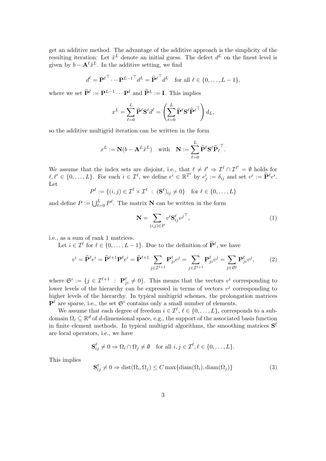get an additive method. The advantage of the additive approach is the simplicity of the resulting iteration: Let  $\tilde{x}^L$  denote an initial guess. The defect  $d^L$  on the finest level is given by  $b - A^{\ell} \tilde{x}^{L}$ . In the additive setting, we find

$$
d^{\ell} = \mathbf{P}^{\ell \top} \cdots \mathbf{P}^{L-1 \top} d^L = \hat{\mathbf{P}}^{\ell \top} d^L \text{ for all } \ell \in \{0, \ldots, L-1\},\
$$

where we set  $\widehat{\mathbf{P}}^{\ell} := \mathbf{P}^{L-1} \cdots \mathbf{P}^{\ell}$  and  $\widehat{\mathbf{P}}^L := \mathbf{I}$ . This implies

$$
x^{L} = \sum_{\ell=0}^{L} \widehat{\mathbf{P}}^{\ell} \mathbf{S}^{\ell} d^{\ell} = \left( \sum_{\ell=0}^{L} \widehat{\mathbf{P}}^{\ell} \mathbf{S}^{\ell} \widehat{\mathbf{P}}^{\ell} \right) d_{L},
$$

so the additive multigrid iteration can be written in the form

$$
x^L := \mathbf{N}(b - \mathbf{A}^L \tilde{x}^L) \quad \text{with} \quad \mathbf{N} := \sum_{\ell=0}^L \widehat{\mathbf{P}}^{\ell} \mathbf{S}^{\ell} \widehat{\mathbf{P}}_{\ell}^{\top}.
$$

We assume that the index sets are disjoint, i.e., that  $\ell \neq \ell' \Rightarrow \mathcal{I}^{\ell} \cap \mathcal{I}^{\ell'} = \emptyset$  holds for  $\ell, \ell' \in \{0, \ldots, L\}$ . For each  $i \in \mathcal{I}^{\ell}$ , we define  $e^i \in \mathbb{R}^{\mathcal{I}^{\ell}}$  by  $e^i_j := \delta_{ij}$  and set  $v^i := \hat{\mathbf{P}}^{\ell} e^i$ . Let

$$
P^{\ell} := \{(i, j) \in \mathcal{I}^{\ell} \times \mathcal{I}^{\ell} : (\mathbf{S}^{\ell})_{ij} \neq 0\} \text{ for } \ell \in \{0, \dots, L\}
$$

and define  $P := \bigcup_{\ell=0}^{L} P^{\ell}$ . The matrix **N** can be written in the form

$$
\mathbf{N} = \sum_{(i,j)\in P} v^i \mathbf{S}_{ij}^\ell v^{j\top},\tag{1}
$$

i.e., as a sum of rank 1 matrices.

Let  $i \in \mathcal{I}^{\ell}$  for  $\ell \in \{0, \ldots, L-1\}$ . Due to the definition of  $\widehat{\mathbf{P}}^{\ell}$ , we have

$$
v^{i} = \widehat{\mathbf{P}}^{\ell} e^{i} = \widehat{\mathbf{P}}^{\ell+1} \mathbf{P}^{\ell} e^{i} = \widehat{\mathbf{P}}^{\ell+1} \sum_{j \in \mathcal{I}^{\ell+1}} \mathbf{P}_{ji}^{\ell} e^{j} = \sum_{j \in \mathcal{I}^{\ell+1}} \mathbf{P}_{ji}^{\ell} v^{j} = \sum_{j \in \mathfrak{S}^{i}} \mathbf{P}_{ji}^{\ell} v^{j}, \tag{2}
$$

where  $\mathfrak{S}^i := \{j \in \mathcal{I}^{\ell+1} : \mathbf{P}_{ji}^{\ell} \neq 0\}$ . This means that the vectors  $v^i$  corresponding to lower levels of the hierarchy can be expressed in terms of vectors  $v^j$  corresponding to higher levels of the hierarchy. In typical multigrid schemes, the prolongation matrices  $\mathbf{P}^{\ell}$  are sparse, i.e., the set  $\mathfrak{S}^{i}$  contains only a small number of elements.

We assume that each degree of freedom  $i \in \mathcal{I}^{\ell}, \ell \in \{0, \ldots, L\}$ , corresponds to a subdomain  $\Omega_i \subseteq \mathbb{R}^d$  of d-dimensional space, e.g., the support of the associated basis function in finite element methods. In typical multigrid algorithms, the smoothing matrices  $S^{\ell}$ are local operators, i.e., we have

$$
\mathbf{S}_{ij}^{\ell} \neq 0 \Rightarrow \Omega_i \cap \Omega_j \neq \emptyset \quad \text{for all } i, j \in \mathcal{I}^{\ell}, \ell \in \{0, \ldots, L\}.
$$

This implies

$$
\mathbf{S}_{ij}^{\ell} \neq 0 \Rightarrow \text{dist}(\Omega_i, \Omega_j) \le C \max\{\text{diam}(\Omega_i), \text{diam}(\Omega_j)\}\tag{3}
$$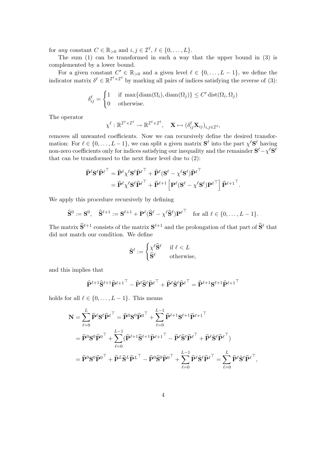for *any* constant  $C \in \mathbb{R}_{>0}$  and  $i, j \in \mathcal{I}^{\ell}, \ell \in \{0, \ldots, L\}.$ 

The sum (1) can be transformed in such a way that the upper bound in (3) is complemented by a lower bound.

For a given constant  $C' \in \mathbb{R}_{>0}$  and a given level  $\ell \in \{0, \ldots, L-1\}$ , we define the indicator matrix  $\delta^{\ell} \in \mathbb{R}^{\mathcal{I}^{\ell} \times \mathcal{I}^{\ell}}$  by marking all pairs of indices satisfying the reverse of (3):

$$
\delta_{ij}^{\ell} = \begin{cases} 1 & \text{if } \max\{\text{diam}(\Omega_i), \text{diam}(\Omega_j)\} \le C' \, \text{dist}(\Omega_i, \Omega_j) \\ 0 & \text{otherwise.} \end{cases}
$$

The operator

$$
\chi^{\ell} : \mathbb{R}^{\mathcal{I}^{\ell} \times \mathcal{I}^{\ell}} \to \mathbb{R}^{\mathcal{I}^{\ell} \times \mathcal{I}^{\ell}}, \quad \mathbf{X} \mapsto (\delta^{\ell}_{ij} \mathbf{X}_{ij})_{i,j \in \mathcal{I}^{\ell}},
$$

removes all unwanted coefficients. Now we can recursively define the desired transformation: For  $\ell \in \{0,\ldots,L-1\}$ , we can split a given matrix  $S^{\ell}$  into the part  $\chi^{\ell}S^{\ell}$  having non-zero coefficients only for indices satisfying our inequality and the remainder  $\mathbf{S}^{\ell} - \chi^{\ell} \mathbf{S}^{\ell}$ that can be transformed to the next finer level due to (2):

$$
\hat{\mathbf{P}}^{\ell} \mathbf{S}^{\ell} \hat{\mathbf{P}}^{\ell\top} = \hat{\mathbf{P}}^{\ell} \chi^{\ell} \mathbf{S}^{\ell} \hat{\mathbf{P}}^{\ell\top} + \hat{\mathbf{P}}^{\ell} (\mathbf{S}^{\ell} - \chi^{\ell} \mathbf{S}^{\ell}) \hat{\mathbf{P}}^{\ell\top} \n= \hat{\mathbf{P}}^{\ell} \chi^{\ell} \mathbf{S}^{\ell} \hat{\mathbf{P}}^{\ell\top} + \hat{\mathbf{P}}^{\ell+1} \left[ \mathbf{P}^{\ell} (\mathbf{S}^{\ell} - \chi^{\ell} \mathbf{S}^{\ell}) \mathbf{P}^{\ell\top} \right] \hat{\mathbf{P}}^{\ell+1}^{\top}.
$$

We apply this procedure recursively by defining

$$
\widehat{\mathbf{S}}^0 := \mathbf{S}^0, \quad \widehat{\mathbf{S}}^{\ell+1} := \mathbf{S}^{\ell+1} + \mathbf{P}^{\ell} (\widehat{\mathbf{S}}^{\ell} - \chi^{\ell} \widehat{\mathbf{S}}^{\ell}) \mathbf{P}^{\ell} \top \quad \text{for all } \ell \in \{0, \ldots, L-1\}.
$$

The matrix  $\hat{\mathbf{S}}^{\ell+1}$  consists of the matrix  $\mathbf{S}^{\ell+1}$  and the prolongation of that part of  $\hat{\mathbf{S}}^{\ell}$  that did not match our condition. We define

$$
\tilde{\mathbf{S}}^{\ell} := \begin{cases} \chi^{\ell} \widehat{\mathbf{S}}^{\ell} & \text{if } \ell < L \\ \widehat{\mathbf{S}}^{\ell} & \text{otherwise,} \end{cases}
$$

and this implies that

$$
\widehat{\mathbf{P}}^{\ell+1} \widehat{\mathbf{S}}^{\ell+1} \widehat{\mathbf{P}}^{\ell+1}^{\top} - \widehat{\mathbf{P}}^{\ell} \widehat{\mathbf{S}}^{\ell} \widehat{\mathbf{P}}^{\ell}^{\top} + \widehat{\mathbf{P}}^{\ell} \widetilde{\mathbf{S}}^{\ell} \widehat{\mathbf{P}}^{\ell}^{\top} = \widehat{\mathbf{P}}^{\ell+1} \mathbf{S}^{\ell+1} \widehat{\mathbf{P}}^{\ell+1}^{\top}
$$

holds for all  $\ell \in \{0, \ldots, L-1\}$ . This means

$$
\mathbf{N} = \sum_{\ell=0}^{L} \widehat{\mathbf{P}}^{\ell} \mathbf{S}^{\ell} \widehat{\mathbf{P}}^{\ell\top} = \widehat{\mathbf{P}}^{0} \mathbf{S}^{0} \widehat{\mathbf{P}}^{0\top} + \sum_{\ell=0}^{L-1} \widehat{\mathbf{P}}^{\ell+1} \mathbf{S}^{\ell+1} \widehat{\mathbf{P}}^{\ell+1}^{\top} \n= \widehat{\mathbf{P}}^{0} \mathbf{S}^{0} \widehat{\mathbf{P}}^{0\top} + \sum_{\ell=0}^{L-1} (\widehat{\mathbf{P}}^{\ell+1} \widehat{\mathbf{S}}^{\ell+1} \widehat{\mathbf{P}}^{\ell+1}^{\top} - \widehat{\mathbf{P}}^{\ell} \widehat{\mathbf{S}}^{\ell} \widehat{\mathbf{P}}^{\ell\top} + \widehat{\mathbf{P}}^{\ell} \widetilde{\mathbf{S}}^{\ell} \widehat{\mathbf{P}}^{\ell\top}) \n= \widehat{\mathbf{P}}^{0} \mathbf{S}^{0} \widehat{\mathbf{P}}^{0\top} + \widehat{\mathbf{P}}^{L} \widehat{\mathbf{S}}^{L} \widehat{\mathbf{P}}^{L\top} - \widehat{\mathbf{P}}^{0} \widehat{\mathbf{S}}^{0} \widehat{\mathbf{P}}^{0\top} + \sum_{\ell=0}^{L-1} \widehat{\mathbf{P}}^{\ell} \widetilde{\mathbf{S}}^{\ell} \widehat{\mathbf{P}}^{\ell\top} = \sum_{\ell=0}^{L} \widehat{\mathbf{P}}^{\ell} \widetilde{\mathbf{S}}^{\ell} \widehat{\mathbf{P}}^{\ell\top},
$$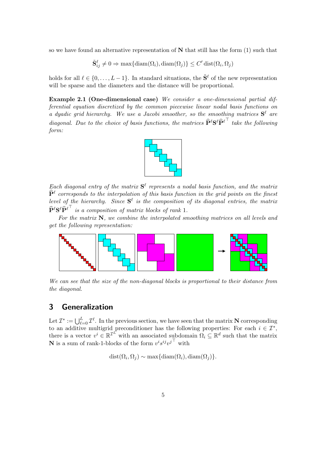so we have found an alternative representation of **N** that still has the form (1) such that

$$
\tilde{\mathbf{S}}^{\ell}_{ij} \neq 0 \Rightarrow \max\{\mathrm{diam}(\Omega_i), \mathrm{diam}(\Omega_j)\} \le C' \mathrm{dist}(\Omega_i, \Omega_j)
$$

holds for all  $\ell \in \{0, \ldots, L-1\}$ . In standard situations, the  $\tilde{S}^{\ell}$  of the new representation will be sparse and the diameters and the distance will be proportional.

**Example 2.1 (One-dimensional case)** *We consider a one-dimensional partial differential equation discretized by the common piecewise linear nodal basis functions on a dyadic grid hierarchy.* We use a Jacobi smoother, so the smoothing matrices  $S^{\ell}$  are *diagonal. Due to the choice of basis functions, the matrices*  $\widehat{P}^{\ell}S^{\ell}\widehat{P}^{\ell}$  <sup>†</sup> take the following *form:*



*Each diagonal entry of the matrix*  $S^{\ell}$  *represents a nodal basis function, and the matrix*  $\hat{\mathbf{P}}^{\ell}$  corresponds to the interpolation of this basis function in the grid points on the finest *level of the hierarchy. Since*  $S^{\ell}$  *is the composition of its diagonal entries, the matrix*  $\widehat{\mathbf{P}}^{\ell} \mathbf{S}^{\ell} \widehat{\mathbf{P}}^{\ell}$  is a composition of matrix blocks of rank 1.

*For the matrix* **N***, we combine the interpolated smoothing matrices on all levels and get the following representation:*



*We can see that the size of the non-diagonal blocks is proportional to their distance from the diagonal.*

# **3 Generalization**

Let  $\mathcal{I}^* := \bigcup_{\ell=0}^L \mathcal{I}^{\ell}$ . In the previous section, we have seen that the matrix **N** corresponding to an additive multigrid preconditioner has the following properties: For each  $i \in \mathcal{I}^*$ , there is a vector  $v^i \in \mathbb{R}^{\mathcal{I}^L}$  with an associated subdomain  $\Omega_i \subseteq \mathbb{R}^d$  such that the matrix **N** is a sum of rank-1-blocks of the form  $v^i s^{ij} v^{j-1}$  with

 $dist(\Omega_i, \Omega_j) \sim \max\{diam(\Omega_i), diam(\Omega_j)\}.$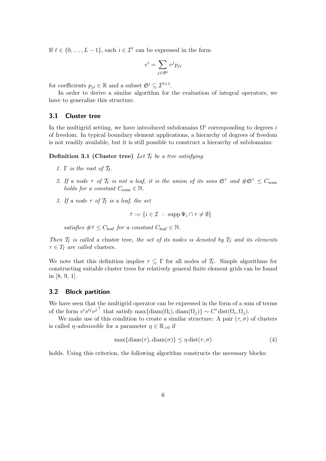If  $\ell \in \{0, \ldots, L-1\}$ , each  $i \in \mathcal{I}^{\ell}$  can be expressed in the form

$$
v^i = \sum_{j \in \mathfrak{S}^i} v^j p_{ji}
$$

for coefficients  $p_{ji} \in \mathbb{R}$  and a subset  $\mathfrak{S}^i \subseteq \mathcal{I}^{\ell+1}$ .

In order to derive a similar algorithm for the evaluation of integral operators, we have to generalize this structure.

#### **3.1 Cluster tree**

In the multigrid setting, we have introduced subdomains  $\Omega^{i}$  corresponding to degrees i of freedom. In typical boundary element applications, a hierarchy of degrees of freedom is not readily available, but it is still possible to construct a hierarchy of subdomains:

**Definition 3.1 (Cluster tree)** Let  $\mathcal{T}_I$  be a tree satisfying

- *1.*  $\Gamma$  *is the root of*  $\mathcal{T}_I$ *.*
- 2. If a node  $\tau$  of  $\mathcal{T}_I$  is not a leaf, it is the union of its sons  $\mathfrak{S}^{\tau}$  and  $\#\mathfrak{S}^{\tau} \leq C_{\text{sons}}$ *holds for a constant*  $C_{\text{sons}} \in \mathbb{N}$ .
- *3. If a node*  $\tau$  *of*  $\mathcal{T}_I$  *is a leaf, the set*

$$
\hat{\tau} := \{ i \in \mathcal{I} \; : \; \mathrm{supp} \, \Psi_i \cap \tau \neq \emptyset \}
$$

*satisfies*  $\#\hat{\tau} \leq C_{\text{leaf}}$  *for a constant*  $C_{\text{leaf}} \in \mathbb{N}$ .

*Then*  $T_I$  *is called a* cluster tree*, the set of its nodes is denoted by*  $T_I$  *and its elements*  $\tau \in T_I$  *are called* clusters.

We note that this definition implies  $\tau \subseteq \Gamma$  for all nodes of  $\mathcal{T}_I$ . Simple algorithms for constructing suitable cluster trees for relatively general finite element grids can be found in [8, 9, 1].

#### **3.2 Block partition**

We have seen that the multigrid operator can be expressed in the form of a sum of terms of the form  $v^i s^{ij} v^{j-1}$  that satisfy max{diam( $\Omega_i$ ), diam( $\Omega_j$ )} ~ C' dist( $\Omega_i, \Omega_j$ ).

We make use of this condition to create a similar structure: A pair  $(\tau, \sigma)$  of clusters is called  $\eta$ -*admissible* for a parameter  $\eta \in \mathbb{R}_{>0}$  if

$$
\max\{\text{diam}(\tau),\text{diam}(\sigma)\}\leq \eta\,\text{dist}(\tau,\sigma) \tag{4}
$$

holds. Using this criterion, the following algorithm constructs the necessary blocks: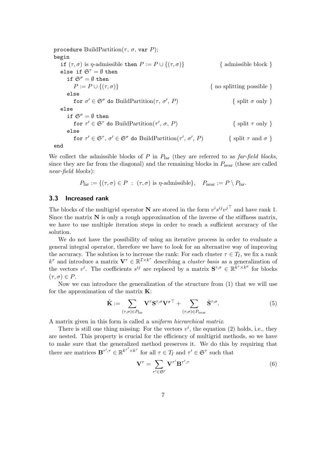procedure BuildPartition( $\tau$ ,  $\sigma$ , var P); begin if  $(\tau, \sigma)$  is *η*-admissible then  $P := P \cup \{(\tau, \sigma)\}\$  { admissible block } else if  $\mathfrak{S}^{\tau} = \emptyset$  then if  $\mathfrak{S}^{\sigma} = \emptyset$  then  $P := P \cup \{(\tau, \sigma)\}\$  { no splitting possible } else for  $\sigma' \in \mathfrak{S}^{\sigma}$  do BuildPartition $(\tau, \sigma', P)$  $\{$  split  $\sigma$  only  $\}$ else if  $\mathfrak{S}^{\sigma} = \emptyset$  then for  $\tau' \in \mathfrak{S}^{\tau}$  do BuildPartition( $\tau'$ ,  $\sigma$ , P)  $\{$  split  $\tau$  only  $\}$ else for  $\tau' \in \mathfrak{S}^{\tau}$ ,  $\sigma' \in \mathfrak{S}^{\sigma}$  do BuildPartition $(\tau', \sigma')$ { split  $\tau$  and  $\sigma$  } end

We collect the admissible blocks of P in Pfar (they are referred to as *far-field blocks*, since they are far from the diagonal) and the remaining blocks in  $P_{\text{near}}$  (these are called *near-field blocks*):

$$
P_{\text{far}} := \{ (\tau, \sigma) \in P \; : \; (\tau, \sigma) \text{ is } \eta \text{-admissible} \}, \quad P_{\text{near}} := P \setminus P_{\text{far}}.
$$

#### **3.3 Increased rank**

The blocks of the multigrid operator **N** are stored in the form  $v^i s^{ij} v^{j-1}$  and have rank 1. Since the matrix  $N$  is only a rough approximation of the inverse of the stiffness matrix, we have to use multiple iteration steps in order to reach a sufficient accuracy of the solution.

We do not have the possibility of using an iterative process in order to evaluate a general integral operator, therefore we have to look for an alternative way of improving the accuracy. The solution is to increase the rank: For each cluster  $\tau \in T_I$ , we fix a rank  $k^{\tau}$  and introduce a matrix  $\mathbf{V}^{\tau} \in \mathbb{R}^{\mathcal{I} \times k^{\tau}}$  describing a *cluster basis* as a generalization of the vectors  $v^i$ . The coefficients  $s^{ij}$  are replaced by a matrix  $S^{\tau,\sigma} \in \mathbb{R}^{k^{\tau} \times k^{\sigma}}$  for blocks  $(\tau,\sigma) \in P$ .

Now we can introduce the generalization of the structure from (1) that we will use for the approximation of the matrix **K**:

$$
\tilde{\mathbf{K}} := \sum_{(\tau,\sigma)\in P_{\text{far}}} \mathbf{V}^{\tau} \mathbf{S}^{\tau,\sigma} \mathbf{V}^{\sigma\top} + \sum_{(\tau,\sigma)\in P_{\text{near}}} \hat{\mathbf{S}}^{\tau,\sigma}.
$$
\n(5)

A matrix given in this form is called a *uniform hierarchical matrix*.

There is still one thing missing: For the vectors  $v^i$ , the equation (2) holds, i.e., they are nested. This property is crucial for the efficiency of multigrid methods, so we have to make sure that the generalized method preserves it. We do this by requiring that there are matrices  $\mathbf{B}^{\tau',\tau} \in \mathbb{R}^{k^{\tau'} \times k^{\tau}}$  for all  $\tau \in T_I$  and  $\tau' \in \mathfrak{S}^{\tau}$  such that

$$
\mathbf{V}^{\tau} = \sum_{\tau' \in \mathfrak{S}^{\tau}} \mathbf{V}^{\tau'} \mathbf{B}^{\tau', \tau}
$$
(6)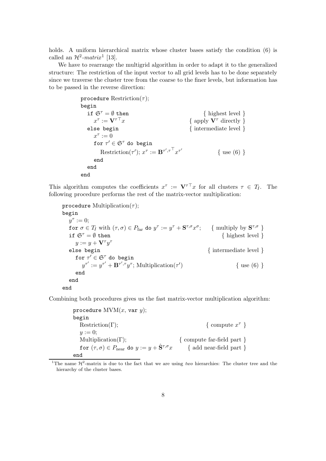holds. A uniform hierarchical matrix whose cluster bases satisfy the condition  $(6)$  is called an  $\mathcal{H}^2$ *-matrix*<sup>1</sup> [13].

We have to rearrange the multigrid algorithm in order to adapt it to the generalized structure: The restriction of the input vector to all grid levels has to be done separately since we traverse the cluster tree from the coarse to the finer levels, but information has to be passed in the reverse direction:

```
procedure Restriction(\tau);
begin
   if \mathfrak{S}^{\tau} = \emptyset then { highest level }
      x^{\tau} := \mathbf{V}^{\tau \top} x{ apply V^{\tau} directly }
   else begin \{ intermediate level \}x^{\tau} := 0for \tau' \in \mathfrak{S}^{\tau} do begin
         Restriction(\tau'); x^{\tau} := \mathbf{B}^{\tau', \tau^{-1}} x^{\tau'}{ use (6)}
      end
   end
end
```
This algorithm computes the coefficients  $x^{\tau}$  :=  $V^{\tau\tau}x$  for all clusters  $\tau \in T_I$ . The following procedure performs the rest of the matrix-vector multiplication:

procedure Multiplication $(\tau)$ ; begin  $y^{\tau} := 0$ ; for  $\sigma \in T_I$  with  $(\tau, \sigma) \in P_{\text{far}}$  do  $y^\tau := y^\tau + \mathbf{S}^{\tau, \sigma} x^\sigma$ ; { multiply by  $\mathbf{S}^{\tau, \sigma}$  } if  $\mathfrak{S}^{\tau} = \emptyset$  then { highest level }  $y := y + \mathbf{V}^\tau y^\tau$ else begin  $\{$  intermediate level  $\}$ for  $\tau' \in \mathfrak{S}^{\tau}$  do begin  $y^{\tau'} := y^{\tau'} + \mathbf{B}^{\tau', \tau} y^{\tau}$ ; Multiplication( $\tau'$  $\{ use (6) \}$ end end end

Combining both procedures gives us the fast matrix-vector multiplication algorithm:

procedure  $MVM(x, var y)$ ; begin Restriction(Γ);  $\{ \text{ compute } x^{\tau} \}$  $y := 0;$ Multiplication(Γ);  $\{ \text{ compute far-field part } \}$ for  $(\tau,\sigma) \in P_{\text{near}}$  do  $y := y + \hat{\mathbf{S}}^{\tau,\sigma} x$  { add near-field part } end

<sup>&</sup>lt;sup>1</sup>The name  $\mathcal{H}^2$ -matrix is due to the fact that we are using *two* hierarchies: The cluster tree and the hierarchy of the cluster bases.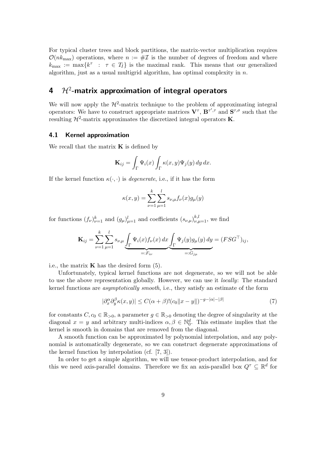For typical cluster trees and block partitions, the matrix-vector multiplication requires  $\mathcal{O}(nk_{\text{max}})$  operations, where  $n := \# \mathcal{I}$  is the number of degrees of freedom and where  $k_{\text{max}} := \max\{k^{\tau} : \tau \in T_I\}$  is the maximal rank. This means that our generalized algorithm, just as a usual multigrid algorithm, has optimal complexity in  $n$ .

# **4** H<sup>2</sup>**-matrix approximation of integral operators**

We will now apply the  $H^2$ -matrix technique to the problem of approximating integral operators: We have to construct appropriate matrices  $V^{\tau}$ ,  $B^{\tau', \tau}$  and  $S^{\tau, \sigma}$  such that the resulting  $\mathcal{H}^2$ -matrix approximates the discretized integral operators **K**.

#### **4.1 Kernel approximation**

We recall that the matrix  $\bf{K}$  is defined by

$$
\mathbf{K}_{ij} = \int_{\Gamma} \Psi_i(x) \int_{\Gamma} \kappa(x, y) \Psi_j(y) \, dy \, dx.
$$

If the kernel function  $\kappa(\cdot, \cdot)$  is *degenerate*, i.e., if it has the form

$$
\kappa(x, y) = \sum_{\nu=1}^{k} \sum_{\mu=1}^{l} s_{\nu, \mu} f_{\nu}(x) g_{\mu}(y)
$$

for functions  $(f_{\nu})_{\nu=1}^k$  and  $(g_{\mu})_{\mu=1}^l$  and coefficients  $(s_{\nu,\mu})_{\nu,\mu=1}^{k,l}$ , we find

$$
\mathbf{K}_{ij} = \sum_{\nu=1}^k \sum_{\mu=1}^l s_{\nu,\mu} \underbrace{\int_{\Gamma} \Psi_i(x) f_{\nu}(x) dx}_{=:F_{i\nu}} \underbrace{\int_{\Gamma} \Psi_j(y) g_{\mu}(y) dy}_{=:G_{j\mu}} = (FSG^{\top})_{ij},
$$

i.e., the matrix  $\bf{K}$  has the desired form  $(5)$ .

Unfortunately, typical kernel functions are not degenerate, so we will not be able to use the above representation globally. However, we can use it *locally*: The standard kernel functions are *asymptotically smooth*, i.e., they satisfy an estimate of the form

$$
|\partial_x^{\alpha} \partial_y^{\beta} \kappa(x, y)| \le C(\alpha + \beta)! (c_0 ||x - y||)^{-g - |\alpha| - |\beta|}
$$
\n(7)

for constants  $C, c_0 \in \mathbb{R}_{>0}$ , a parameter  $g \in \mathbb{R}_{>0}$  denoting the degree of singularity at the diagonal  $x = y$  and arbitrary multi-indices  $\alpha, \beta \in \mathbb{N}_0^d$ . This estimate implies that the kernel is smooth in domains that are removed from the diagonal.

A smooth function can be approximated by polynomial interpolation, and any polynomial is automatically degenerate, so we can construct degenerate approximations of the kernel function by interpolation (cf. [7, 3]).

In order to get a simple algorithm, we will use tensor-product interpolation, and for this we need axis-parallel domains. Therefore we fix an axis-parallel box  $Q^{\tau} \subseteq \mathbb{R}^d$  for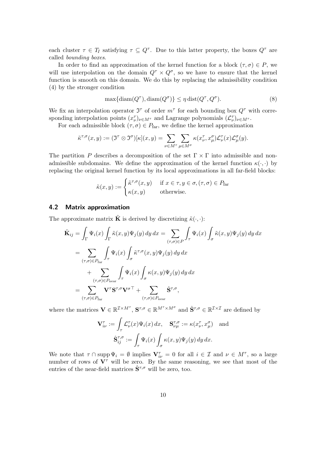each cluster  $\tau \in T_I$  satisfying  $\tau \subseteq Q^{\tau}$ . Due to this latter property, the boxes  $Q^{\tau}$  are called *bounding boxes*.

In order to find an approximation of the kernel function for a block  $(\tau, \sigma) \in P$ , we will use interpolation on the domain  $Q^{\tau} \times Q^{\sigma}$ , so we have to ensure that the kernel function is smooth on this domain. We do this by replacing the admissibility condition (4) by the stronger condition

$$
\max\{\text{diam}(Q^{\tau}), \text{diam}(Q^{\sigma})\} \le \eta \,\text{dist}(Q^{\tau}, Q^{\sigma}).\tag{8}
$$

We fix an interpolation operator  $\mathfrak{I}^{\tau}$  of order  $m^{\tau}$  for each bounding box  $Q^{\tau}$  with corresponding interpolation points  $(x_{\nu}^{\tau})_{\nu \in M_{\tau}}$  and Lagrange polynomials  $(\mathcal{L}_{\nu}^{\tau})_{\nu \in M_{\tau}}$ .

For each admissible block  $(\tau, \sigma) \in P_{\text{far}}$ , we define the kernel approximation

$$
\tilde{\kappa}^{\tau,\sigma}(x,y) := (\mathfrak{I}^{\tau} \otimes \mathfrak{I}^{\sigma})[\kappa](x,y) = \sum_{\nu \in M^{\tau}} \sum_{\mu \in M^{\sigma}} \kappa(x_{\nu}^{\tau}, x_{\mu}^{\sigma}) \mathcal{L}_{\nu}^{\tau}(x) \mathcal{L}_{\mu}^{\sigma}(y).
$$

The partition P describes a decomposition of the set  $\Gamma \times \Gamma$  into admissible and nonadmissible subdomains. We define the approximation of the kernel function  $\kappa(\cdot, \cdot)$  by replacing the original kernel function by its local approximations in all far-field blocks:

$$
\tilde{\kappa}(x, y) := \begin{cases}\n\tilde{\kappa}^{\tau, \sigma}(x, y) & \text{if } x \in \tau, y \in \sigma, (\tau, \sigma) \in P_{\text{far}} \\
\kappa(x, y) & \text{otherwise.} \n\end{cases}
$$

#### **4.2 Matrix approximation**

The approximate matrix  $\tilde{\mathbf{K}}$  is derived by discretizing  $\tilde{\kappa}(\cdot,\cdot)$ :

$$
\tilde{\mathbf{K}}_{ij} = \int_{\Gamma} \Psi_i(x) \int_{\Gamma} \tilde{\kappa}(x, y) \Psi_j(y) \, dy \, dx = \sum_{(\tau, \sigma) \in P} \int_{\tau} \Psi_i(x) \int_{\sigma} \tilde{\kappa}(x, y) \Psi_j(y) \, dy \, dx \n= \sum_{(\tau, \sigma) \in P_{\text{far}}} \int_{\tau} \Psi_i(x) \int_{\sigma} \tilde{\kappa}^{\tau, \sigma}(x, y) \Psi_j(y) \, dy \, dx \n+ \sum_{(\tau, \sigma) \in P_{\text{near}}} \int_{\tau} \Psi_i(x) \int_{\sigma} \kappa(x, y) \Psi_j(y) \, dy \, dx \n= \sum_{(\tau, \sigma) \in P_{\text{far}}} \mathbf{V}^{\tau} \mathbf{S}^{\tau, \sigma} \mathbf{V}^{\sigma \top} + \sum_{(\tau, \sigma) \in P_{\text{near}}} \hat{\mathbf{S}}^{\tau, \sigma},
$$

where the matrices  $\mathbf{V} \in \mathbb{R}^{\mathcal{I} \times M^{\tau}}$ ,  $\mathbf{S}^{\tau,\sigma} \in \mathbb{R}^{M^{\tau} \times M^{\sigma}}$  and  $\hat{\mathbf{S}}^{\tau,\sigma} \in \mathbb{R}^{\mathcal{I} \times \mathcal{I}}$  are defined by

$$
\mathbf{V}_{i\nu}^{\tau} := \int_{\tau} \mathcal{L}_{\nu}^{\tau}(x) \Psi_i(x) dx, \quad \mathbf{S}_{\nu\mu}^{\tau,\sigma} := \kappa(x_{\nu}^{\tau}, x_{\mu}^{\sigma}) \quad \text{and}
$$

$$
\hat{\mathbf{S}}_{ij}^{\tau,\sigma} := \int_{\tau} \Psi_i(x) \int_{\sigma} \kappa(x, y) \Psi_j(y) dy dx.
$$

We note that  $\tau \cap \text{supp } \Psi_i = \emptyset$  implies  $\mathbf{V}_{i\nu}^{\tau} = 0$  for all  $i \in \mathcal{I}$  and  $\nu \in M^{\tau}$ , so a large number of rows of  $V^{\tau}$  will be zero. By the same reasoning, we see that most of the entries of the near-field matrices  $\hat{\mathbf{S}}^{\tau,\sigma}$  will be zero, too.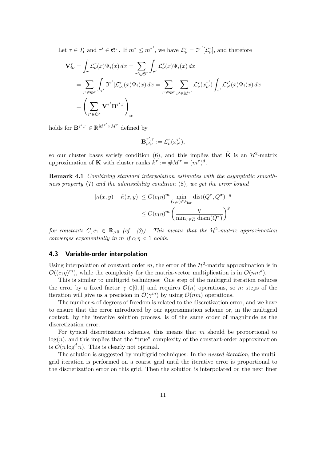Let  $\tau \in T_I$  and  $\tau' \in \mathfrak{S}^{\tau}$ . If  $m^{\tau} \leq m^{\tau'}$ , we have  $\mathcal{L}_{\nu}^{\tau} = \mathfrak{I}^{\tau'}[\mathcal{L}_{\nu}^{\tau}]$ , and therefore

$$
\begin{split} \mathbf{V}_{i\nu}^{\tau} &= \int_{\tau} \mathcal{L}_{\nu}^{\tau}(x) \Psi_{i}(x) \, dx = \sum_{\tau' \in \mathfrak{S}^{\tau}} \int_{\tau'} \mathcal{L}_{\nu}^{\tau}(x) \Psi_{i}(x) \, dx \\ &= \sum_{\tau' \in \mathfrak{S}^{\tau}} \int_{\tau'} \mathfrak{I}^{\tau'}[\mathcal{L}_{\nu}^{\tau}](x) \Psi_{i}(x) \, dx = \sum_{\tau' \in \mathfrak{S}^{\tau}} \sum_{\nu' \in M^{\tau'}} \mathcal{L}_{\nu}^{\tau}(x_{\nu'}^{\tau'}) \int_{\tau'} \mathcal{L}_{\nu'}^{\tau'}(x) \Psi_{i}(x) \, dx \\ &= \left( \sum_{\tau' \in \mathfrak{S}^{\tau}} \mathbf{V}^{\tau'} \mathbf{B}^{\tau', \tau} \right)_{i\nu} \end{split}
$$

holds for  $\mathbf{B}^{\tau',\tau} \in \mathbb{R}^{M^{\tau'} \times M^{\tau}}$  defined by

$$
\mathbf{B}_{\nu'\nu}^{\tau',\tau}:=\mathcal{L}_{\nu}^{\tau}(x_{\nu'}^{\tau'}),
$$

so our cluster bases satisfy condition (6), and this implies that  $\tilde{\mathbf{K}}$  is an  $\mathcal{H}^2$ -matrix approximation of **K** with cluster ranks  $k^{\tau} := \#M^{\tau} = (m^{\tau})^d$ .

**Remark 4.1** *Combining standard interpolation estimates with the asymptotic smoothness property* (7) *and the admissibility condition* (8)*, we get the error bound*

$$
|\kappa(x, y) - \tilde{\kappa}(x, y)| \le C(c_1 \eta)^m \min_{(\tau, \sigma) \in P_{\text{far}}} \text{dist}(Q^{\tau}, Q^{\sigma})^{-g}
$$

$$
\le C(c_1 \eta)^m \left(\frac{\eta}{\min_{\tau \in T_I} \text{diam}(Q^{\tau})}\right)^g
$$

*for constants*  $C, c_1 \in \mathbb{R}_{>0}$  *(cf. [3]). This means that the*  $\mathcal{H}^2$ -matrix approximation *converges exponentially in* m *if*  $c_1 \eta < 1$  *holds.* 

### **4.3 Variable-order interpolation**

Using interpolation of constant order m, the error of the  $\mathcal{H}^2$ -matrix approximation is in  $\mathcal{O}((c_1\eta)^m)$ , while the complexity for the matrix-vector multiplication is in  $\mathcal{O}(nm^d)$ .

This is similar to multigrid techniques: One step of the multigrid iteration reduces the error by a fixed factor  $\gamma \in ]0,1[$  and requires  $\mathcal{O}(n)$  operations, so m steps of the iteration will give us a precision in  $\mathcal{O}(\gamma^m)$  by using  $\mathcal{O}(nm)$  operations.

The number  $n$  of degrees of freedom is related to the discretization error, and we have to ensure that the error introduced by our approximation scheme or, in the multigrid context, by the iterative solution process, is of the same order of magnitude as the discretization error.

For typical discretization schemes, this means that  $m$  should be proportional to  $log(n)$ , and this implies that the "true" complexity of the constant-order approximation is  $\mathcal{O}(n \log^d n)$ . This is clearly not optimal.

The solution is suggested by multigrid techniques: In the *nested iteration*, the multigrid iteration is performed on a coarse grid until the iterative error is proportional to the discretization error on this grid. Then the solution is interpolated on the next finer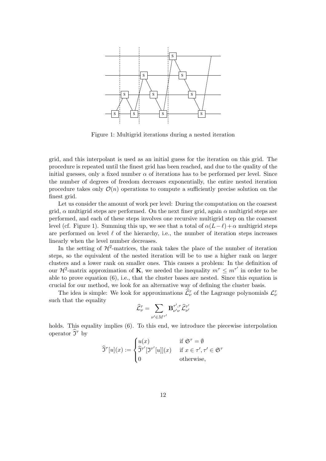

Figure 1: Multigrid iterations during a nested iteration

grid, and this interpolant is used as an initial guess for the iteration on this grid. The procedure is repeated until the finest grid has been reached, and due to the quality of the initial guesses, only a fixed number  $\alpha$  of iterations has to be performed per level. Since the number of degrees of freedom decreases exponentially, the entire nested iteration procedure takes only  $\mathcal{O}(n)$  operations to compute a sufficiently precise solution on the finest grid.

Let us consider the amount of work per level: During the computation on the coarsest grid,  $\alpha$  multigrid steps are performed. On the next finer grid, again  $\alpha$  multigrid steps are performed, and each of these steps involves one recursive multigrid step on the coarsest level (cf. Figure 1). Summing this up, we see that a total of  $\alpha(L-\ell) + \alpha$  multigrid steps are performed on level  $\ell$  of the hierarchy, i.e., the number of iteration steps increases linearly when the level number decreases.

In the setting of  $H^2$ -matrices, the rank takes the place of the number of iteration steps, so the equivalent of the nested iteration will be to use a higher rank on larger clusters and a lower rank on smaller ones. This causes a problem: In the definition of our  $\mathcal{H}^2$ -matrix approximation of **K**, we needed the inequality  $m^{\tau} \leq m^{\tau'}$  in order to be able to prove equation (6), i.e., that the cluster bases are nested. Since this equation is crucial for our method, we look for an alternative way of defining the cluster basis.

The idea is simple: We look for approximations  $\hat{\mathcal{L}}_{\nu}^{\tau}$  of the Lagrange polynomials  $\mathcal{L}_{\nu}^{\tau}$ such that the equality

$$
\widehat{\mathcal{L}}_{\nu}^{\tau} = \sum_{\nu' \in M^{\tau'}} \mathbf{B}_{\nu' \nu}^{\tau', \tau} \widehat{\mathcal{L}}_{\nu'}^{\tau'}
$$

holds. This equality implies (6). To this end, we introduce the piecewise interpolation operator  $\hat{\mathfrak{I}}^{\tau}$  by

$$
\widehat{\mathfrak{I}}^{\tau}[u](x) := \begin{cases} u(x) & \text{if } \mathfrak{S}^{\tau} = \emptyset \\ \widehat{\mathfrak{I}}^{\tau'}[\mathfrak{I}^{\tau'}[u]](x) & \text{if } x \in \tau', \tau' \in \mathfrak{S}^{\tau} \\ 0 & \text{otherwise,} \end{cases}
$$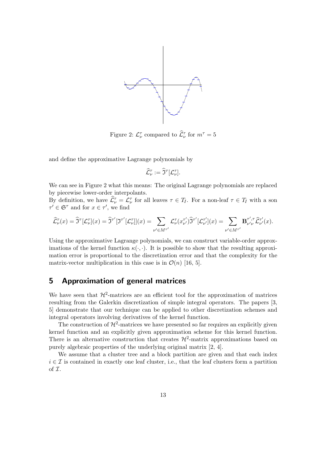

Figure 2:  $\mathcal{L}_{\nu}^{\tau}$  compared to  $\widehat{\mathcal{L}}_{\nu}^{\tau}$  for  $m^{\tau} = 5$ 

and define the approximative Lagrange polynomials by

$$
\widehat{\mathcal{L}}_{\nu}^{\tau}:=\widehat{\mathfrak{I}}^{\tau}[\mathcal{L}_{\nu}^{\tau}].
$$

We can see in Figure 2 what this means: The original Lagrange polynomials are replaced by piecewise lower-order interpolants.

By definition, we have  $\hat{\mathcal{L}}_{\nu}^{\tau} = \mathcal{L}_{\nu}^{\tau}$  for all leaves  $\tau \in T_I$ . For a non-leaf  $\tau \in T_I$  with a son  $\tau' \in \mathfrak{S}^{\tau}$  and for  $x \in \tau'$ , we find

$$
\widehat{\mathcal{L}}_{\nu}^{\tau}(x) = \widehat{\mathfrak{I}}^{\tau}[\mathcal{L}_{\nu}^{\tau}](x) = \widehat{\mathfrak{I}}^{\tau'}[\mathcal{I}^{\tau'}[\mathcal{L}_{\nu}^{\tau}]](x) = \sum_{\nu' \in M^{\tau'}} \mathcal{L}_{\nu}^{\tau}(x_{\nu'}^{\tau'}) \widehat{\mathfrak{I}}^{\tau'}[\mathcal{L}_{\nu'}^{\tau'}](x) = \sum_{\nu' \in M^{\tau'}} \mathbf{B}_{\nu'\nu}^{\tau',\tau} \widehat{\mathcal{L}}_{\nu'}^{\tau'}(x).
$$

Using the approximative Lagrange polynomials, we can construct variable-order approximations of the kernel function  $\kappa(\cdot, \cdot)$ . It is possible to show that the resulting approximation error is proportional to the discretization error and that the complexity for the matrix-vector multiplication in this case is in  $\mathcal{O}(n)$  [16, 5].

# **5 Approximation of general matrices**

We have seen that  $\mathcal{H}^2$ -matrices are an efficient tool for the approximation of matrices resulting from the Galerkin discretization of simple integral operators. The papers [3, 5] demonstrate that our technique can be applied to other discretization schemes and integral operators involving derivatives of the kernel function.

The construction of  $\mathcal{H}^2$ -matrices we have presented so far requires an explicitly given kernel function and an explicitly given approximation scheme for this kernel function. There is an alternative construction that creates  $\mathcal{H}^2$ -matrix approximations based on purely algebraic properties of the underlying original matrix [2, 4].

We assume that a cluster tree and a block partition are given and that each index  $i \in \mathcal{I}$  is contained in exactly one leaf cluster, i.e., that the leaf clusters form a partition of I.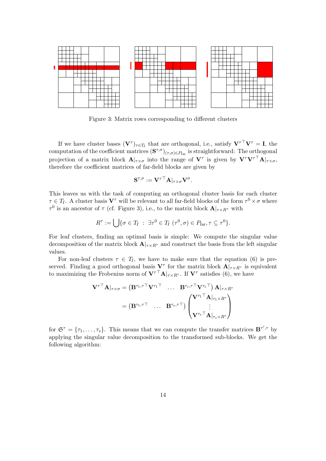

Figure 3: Matrix rows corresponding to different clusters

If we have cluster bases  $(\mathbf{V}^{\tau})_{\tau \in T_I}$  that are orthogonal, i.e., satisfy  $\mathbf{V}^{\tau \top} \mathbf{V}^{\tau} = \mathbf{I}$ , the computation of the coefficient matrices  $({\bf S}^{\tau,\sigma})_{(\tau,\sigma)\in P_{\text{far}}}$  is straightforward: The orthogonal projection of a matrix block  $\mathbf{A}|_{\tau \times \sigma}$  into the range of  $\mathbf{V}^\tau$  is given by  $\mathbf{V}^\tau \mathbf{V}^{\tau \top} \mathbf{A}|_{\tau \times \sigma}$ , therefore the coefficient matrices of far-field blocks are given by

$$
\mathbf{S}^{\tau,\sigma}:=\mathbf{V}^{\tau\top}\mathbf{A}|_{\tau\times\sigma}\mathbf{V}^{\sigma}.
$$

This leaves us with the task of computing an orthogonal cluster basis for each cluster  $\tau \in T_I$ . A cluster basis  $V^{\tau}$  will be relevant to all far-field blocks of the form  $\tau^0 \times \sigma$  where  $τ<sup>0</sup>$  is an ancestor of  $τ$  (cf. Figure 3), i.e., to the matrix block  $\mathbf{A}|_{τ\times R<sup>τ</sup>}$  with

$$
R^{\tau} := \bigcup \{ \sigma \in T_I \; : \; \exists \tau^0 \in T_I \; (\tau^0, \sigma) \in P_{\text{far}}, \tau \subseteq \tau^0 \}.
$$

For leaf clusters, finding an optimal basis is simple: We compute the singular value decomposition of the matrix block  $\mathbf{A}|_{\tau \times R^{\tau}}$  and construct the basis from the left singular values.

For non-leaf clusters  $\tau \in T_I$ , we have to make sure that the equation (6) is preserved. Finding a good orthogonal basis  $V^{\tau}$  for the matrix block  $A|_{\tau \times R^{\tau}}$  is equivalent to maximizing the Frobenius norm of  $V^{\tau\tau}A|_{\tau\times R^{\tau}}$ . If  $V^{\tau}$  satisfies (6), we have

$$
\mathbf{V}^{\tau\top}\mathbf{A}|_{\tau\times\sigma} = \left(\mathbf{B}^{\tau_1,\tau\top}\mathbf{V}^{\tau_1\top}\quad\ldots\quad \mathbf{B}^{\tau_s,\tau\top}\mathbf{V}^{\tau_s\top}\right)\mathbf{A}|_{\tau\times R^{\tau}} = \left(\mathbf{B}^{\tau_1,\tau\top}\quad\ldots\quad \mathbf{B}^{\tau_s,\tau\top}\right)\begin{pmatrix} \mathbf{V}^{\tau_1\top}\mathbf{A}|_{\tau_1\times R^{\tau}} \\ \vdots \\ \mathbf{V}^{\tau_s\top}\mathbf{A}|_{\tau_s\times R^{\tau}} \end{pmatrix}
$$

for  $\mathfrak{S}^{\tau} = {\tau_1, \ldots, \tau_s}$ . This means that we can compute the transfer matrices  $\mathbf{B}^{\tau', \tau}$  by applying the singular value decomposition to the transformed sub-blocks. We get the following algorithm: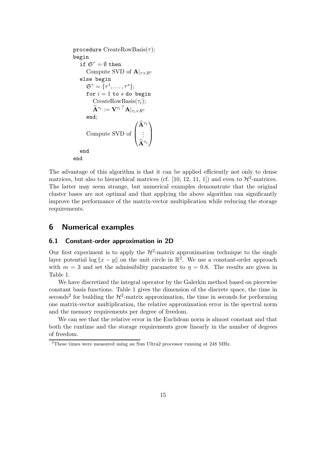```
procedure CreateRowBasis(\tau);begin
     if \mathfrak{S}^{\tau} = \emptyset then
         Compute SVD of A|_{\tau \times R^{\tau}}else begin
         \mathfrak{S}^{\tau} = \{ \tau^1, \ldots, \tau^s \};for i = 1 to s do begin
              CreateRowBasis(\tau_i);\widehat{\mathbf{A}}^{\tau_i} := \mathbf{V}^{\tau_i \top} \mathbf{A} |_{\tau_i \times R^\tau}end;
          Compute SVD of
                                             \sqrt{2}\vert\widehat{\mathbf{A}}^{\tau_1}.
.
.
                                                \widehat{\mathbf{A}}^{\tau_s}⎞
                                                        \vertend
end
```
The advantage of this algorithm is that it can be applied efficiently not only to dense matrices, but also to hierarchical matrices (cf. [10, 12, 11, 1]) and even to  $\mathcal{H}^2$ -matrices. The latter may seem strange, but numerical examples demonstrate that the original cluster bases are not optimal and that applying the above algorithm can significantly improve the performance of the matrix-vector multiplication while reducing the storage requirements.

# **6 Numerical examples**

#### **6.1 Constant-order approximation in 2D**

Our first experiment is to apply the  $\mathcal{H}^2$ -matrix approximation technique to the single layer potential  $\log ||x - y||$  on the unit circle in  $\mathbb{R}^2$ . We use a constant-order approach with  $m = 3$  and set the admissibility parameter to  $\eta = 0.8$ . The results are given in Table 1.

We have discretized the integral operator by the Galerkin method based on piecewise constant basis functions. Table 1 gives the dimension of the discrete space, the time in seconds<sup>2</sup> for building the  $\mathcal{H}^2$ -matrix approximation, the time in seconds for performing one matrix-vector multiplication, the relative approximation error in the spectral norm and the memory requirements per degree of freedom.

We can see that the relative error in the Euclidean norm is almost constant and that both the runtime and the storage requirements grow linearly in the number of degrees of freedom.

<sup>2</sup>These times were measured using an Sun Ultra2 processor running at 248 MHz.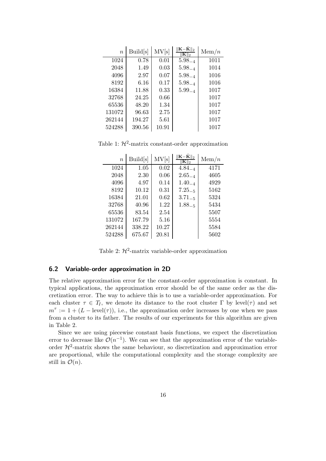| $\overline{n}$ | Build[s] | MV[s] | $\ \mathbf{K-}\tilde{\mathbf{K}}\ _2$<br>$\ {\bf K}\ _2$ | $\mathrm{Mem}/n$ |
|----------------|----------|-------|----------------------------------------------------------|------------------|
| 1024           | 0.78     | 0.01  | $5.98_{-4}$                                              | 1011             |
| 2048           | 1.49     | 0.03  | $5.98_{-4}$                                              | 1014             |
| 4096           | 2.97     | 0.07  | $5.98_{-4}$                                              | 1016             |
| 8192           | 6.16     | 0.17  | $5.98_{-4}$                                              | 1016             |
| 16384          | 11.88    | 0.33  | $5.99_{-4}$                                              | 1017             |
| 32768          | 24.25    | 0.66  |                                                          | 1017             |
| 65536          | 48.20    | 1.34  |                                                          | 1017             |
| 131072         | 96.63    | 2.75  |                                                          | 1017             |
| 262144         | 194.27   | 5.61  |                                                          | 1017             |
| 524288         | 390.56   | 10.91 |                                                          | 1017             |

Table 1:  $\mathcal{H}^2$ -matrix constant-order approximation

| $\boldsymbol{n}$ | Build[s] | MV[s] | $\ \mathbf{K-}\tilde{\mathbf{K}}\ _2$<br>$\overline{2}$ | $\mathrm{Mem}/n$ |
|------------------|----------|-------|---------------------------------------------------------|------------------|
| 1024             | 1.05     | 0.02  | $4.84_{-4}$                                             | 4171             |
| 2048             | 2.30     | 0.06  | $2.65_{-4}$                                             | 4605             |
| 4096             | 4.97     | 0.14  | $1.40_{-4}$                                             | 4929             |
| 8192             | 10.12    | 0.31  | $7.25_{-5}$                                             | 5162             |
| 16384            | 21.01    | 0.62  | $3.71_{-5}$                                             | 5324             |
| 32768            | 40.96    | 1.22  | $1.88 - 5$                                              | 5434             |
| 65536            | 83.54    | 2.54  |                                                         | 5507             |
| 131072           | 167.79   | 5.16  |                                                         | 5554             |
| 262144           | 338.22   | 10.27 |                                                         | 5584             |
| 524288           | 675.67   | 20.81 |                                                         | 5602             |

Table 2:  $\mathcal{H}^2$ -matrix variable-order approximation

#### **6.2 Variable-order approximation in 2D**

The relative approximation error for the constant-order approximation is constant. In typical applications, the approximation error should be of the same order as the discretization error. The way to achieve this is to use a variable-order approximation. For each cluster  $\tau \in T_I$ , we denote its distance to the root cluster  $\Gamma$  by level( $\tau$ ) and set  $m^{\tau} := 1 + (L - level(\tau))$ , i.e., the approximation order increases by one when we pass from a cluster to its father. The results of our experiments for this algorithm are given in Table 2.

Since we are using piecewise constant basis functions, we expect the discretization error to decrease like  $\mathcal{O}(n^{-1})$ . We can see that the approximation error of the variableorder  $\mathcal{H}^2$ -matrix shows the same behaviour, so discretization and approximation error are proportional, while the computational complexity and the storage complexity are still in  $\mathcal{O}(n)$ .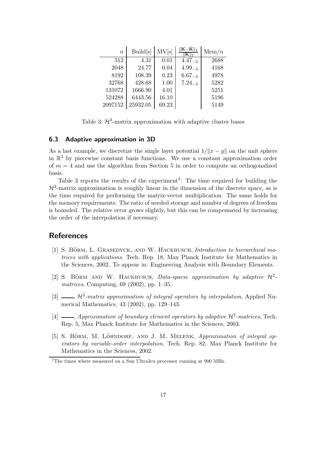| $\boldsymbol{n}$ | Build[s] | MV[s] | $\ \mathbf{K-}\tilde{\mathbf{K}}\ _2$<br>$\ {\bf K}\ _2$ | Mem/n |
|------------------|----------|-------|----------------------------------------------------------|-------|
| 512              | 4.31     | 0.01  | $4.47_{-5}$                                              | 2688  |
| 2048             | 24.77    | 0.04  | $4.99 - 5$                                               | 4168  |
| 8192             | 108.39   | 0.23  | $6.67_{-5}$                                              | 4978  |
| 32768            | 428.68   | 1.00  | $7.24_{-5}$                                              | 5282  |
| 131072           | 1666.90  | 4.01  |                                                          | 5251  |
| 524288           | 6443.56  | 16.10 |                                                          | 5196  |
| 2097152          | 25932.05 | 69.23 |                                                          | 5149  |

Table 3:  $\mathcal{H}^2$ -matrix approximation with adaptive cluster bases

#### **6.3 Adaptive approximation in 3D**

As a last example, we discretize the single layer potential  $1/||x - y||$  on the unit sphere in  $\mathbb{R}^3$  by piecewise constant basis functions. We use a constant approximation order of  $m = 4$  and use the algorithm from Section 5 in order to compute an orthogonalized basis.

Table 3 reports the results of the experiment<sup>3</sup>: The time required for building the  $\mathcal{H}^2$ -matrix approximation is roughly linear in the dimension of the discrete space, as is the time required for performing the matrix-vector multiplication. The same holds for the memory requirements: The ratio of needed storage and number of degrees of freedom is bounded. The relative error grows slightly, but this can be compensated by increasing the order of the interpolation if necessary.

### **References**

- [1] S. BÖRM, L. GRASEDYCK, AND W. HACKBUSCH, *Introduction to hierarchical matrices with applications*, Tech. Rep. 18, Max Planck Institute for Mathematics in the Sciences, 2002. To appear in: Engineering Analysis with Boundary Elements.
- [2] S. BÖRM AND W. HACKBUSCH, *Data-sparse approximation by adaptive*  $\mathcal{H}^2$ *matrices*, Computing, 69 (2002), pp. 1–35.
- [3]  $\frac{1}{2}$ ,  $\mathcal{H}^2$ -matrix approximation of integral operators by interpolation, Applied Numerical Mathematics, 43 (2002), pp. 129–143.
- [4]  $\frac{1}{2}$ , *Approximation of boundary element operators by adaptive*  $\mathcal{H}^2$ -matrices, Tech. Rep. 5, Max Planck Institute for Mathematics in the Sciences, 2003.
- [5] S. BÖRM, M. LÖHNDORF, AND J. M. MELENK, *Approximation of integral operators by variable-order interpolation*, Tech. Rep. 82, Max Planck Institute for Mathematics in the Sciences, 2002.

<sup>&</sup>lt;sup>3</sup>The times where measured on a Sun Ultra3cu processor running at 900 MHz.